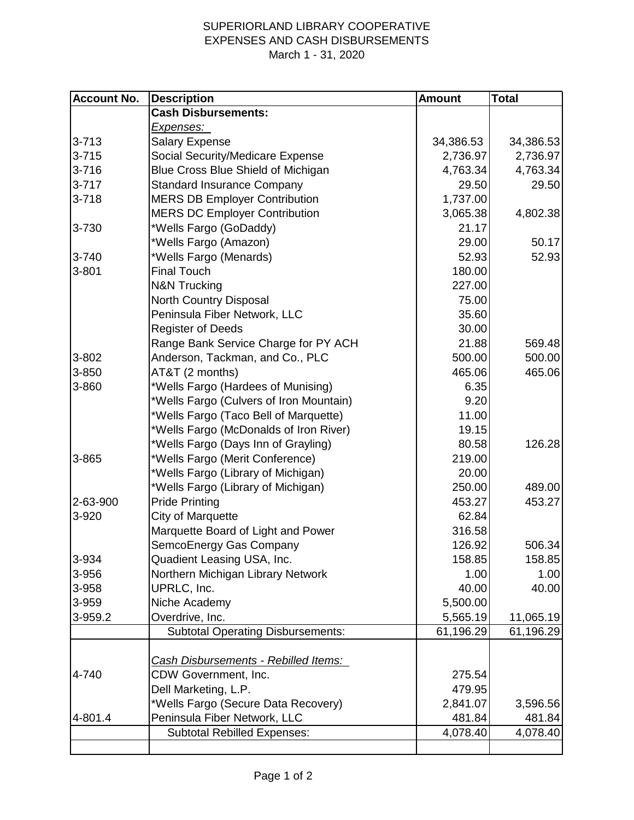## SUPERIORLAND LIBRARY COOPERATIVE EXPENSES AND CASH DISBURSEMENTS March 1 - 31, 2020

| <b>Account No.</b> | <b>Description</b>                       | <b>Amount</b> | <b>Total</b> |
|--------------------|------------------------------------------|---------------|--------------|
|                    | <b>Cash Disbursements:</b>               |               |              |
|                    | <u>Expenses: </u>                        |               |              |
| $3 - 713$          | <b>Salary Expense</b>                    | 34,386.53     | 34,386.53    |
| $3 - 715$          | Social Security/Medicare Expense         | 2,736.97      | 2,736.97     |
| $3 - 716$          | Blue Cross Blue Shield of Michigan       | 4,763.34      | 4,763.34     |
| $3 - 717$          | <b>Standard Insurance Company</b>        | 29.50         | 29.50        |
| $3 - 718$          | <b>MERS DB Employer Contribution</b>     | 1,737.00      |              |
|                    | <b>MERS DC Employer Contribution</b>     | 3,065.38      | 4,802.38     |
| 3-730              | *Wells Fargo (GoDaddy)                   | 21.17         |              |
|                    | *Wells Fargo (Amazon)                    | 29.00         | 50.17        |
| $3 - 740$          | *Wells Fargo (Menards)                   | 52.93         | 52.93        |
| 3-801              | <b>Final Touch</b>                       | 180.00        |              |
|                    | <b>N&amp;N Trucking</b>                  | 227.00        |              |
|                    | North Country Disposal                   | 75.00         |              |
|                    | Peninsula Fiber Network, LLC             | 35.60         |              |
|                    | <b>Register of Deeds</b>                 | 30.00         |              |
|                    | Range Bank Service Charge for PY ACH     | 21.88         | 569.48       |
| 3-802              | Anderson, Tackman, and Co., PLC          | 500.00        | 500.00       |
| 3-850              | AT&T (2 months)                          | 465.06        | 465.06       |
| 3-860              | *Wells Fargo (Hardees of Munising)       | 6.35          |              |
|                    | *Wells Fargo (Culvers of Iron Mountain)  | 9.20          |              |
|                    | *Wells Fargo (Taco Bell of Marquette)    | 11.00         |              |
|                    | *Wells Fargo (McDonalds of Iron River)   | 19.15         |              |
|                    | *Wells Fargo (Days Inn of Grayling)      | 80.58         | 126.28       |
| 3-865              | *Wells Fargo (Merit Conference)          | 219.00        |              |
|                    | *Wells Fargo (Library of Michigan)       | 20.00         |              |
|                    | *Wells Fargo (Library of Michigan)       | 250.00        | 489.00       |
| 2-63-900           | <b>Pride Printing</b>                    | 453.27        | 453.27       |
| 3-920              | City of Marquette                        | 62.84         |              |
|                    | Marquette Board of Light and Power       | 316.58        |              |
|                    | SemcoEnergy Gas Company                  | 126.92        | 506.34       |
| 3-934              | Quadient Leasing USA, Inc.               | 158.85        | 158.85       |
| 3-956              | Northern Michigan Library Network        | 1.00          | 1.00         |
| 3-958              | UPRLC, Inc.                              | 40.00         | 40.00        |
| 3-959              | Niche Academy                            | 5,500.00      |              |
| 3-959.2            | Overdrive, Inc.                          | 5,565.19      | 11,065.19    |
|                    | <b>Subtotal Operating Disbursements:</b> | 61,196.29     | 61,196.29    |
|                    |                                          |               |              |
|                    | Cash Disbursements - Rebilled Items:     |               |              |
| 4-740              | CDW Government, Inc.                     | 275.54        |              |
|                    | Dell Marketing, L.P.                     | 479.95        |              |
|                    | *Wells Fargo (Secure Data Recovery)      | 2,841.07      | 3,596.56     |
| 4-801.4            | Peninsula Fiber Network, LLC             | 481.84        | 481.84       |
|                    | <b>Subtotal Rebilled Expenses:</b>       | 4,078.40      | 4,078.40     |
|                    |                                          |               |              |